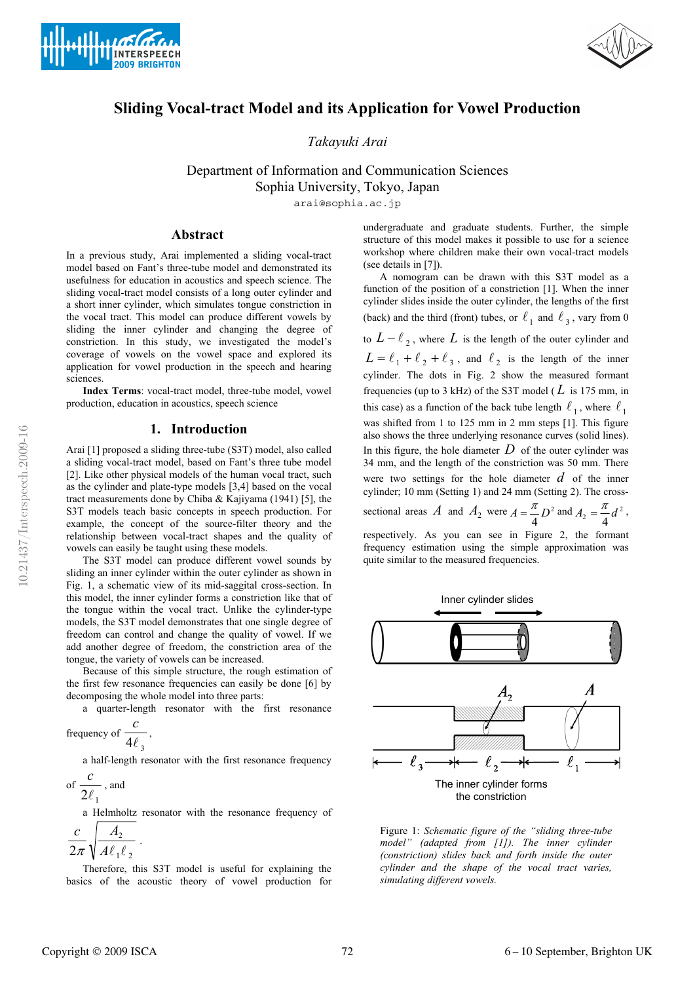





# **Sliding Vocal-tract Model and its Application for Vowel Production**

*Takayuki Arai*

Department of Information and Communication Sciences Sophia University, Tokyo, Japan

arai@sophia.ac.jp

## **Abstract**

In a previous study, Arai implemented a sliding vocal-tract model based on Fant's three-tube model and demonstrated its usefulness for education in acoustics and speech science. The sliding vocal-tract model consists of a long outer cylinder and a short inner cylinder, which simulates tongue constriction in the vocal tract. This model can produce different vowels by sliding the inner cylinder and changing the degree of constriction. In this study, we investigated the model's coverage of vowels on the vowel space and explored its application for vowel production in the speech and hearing sciences.

**Index Terms**: vocal-tract model, three-tube model, vowel production, education in acoustics, speech science

## **1. Introduction**

Arai [1] proposed a sliding three-tube (S3T) model, also called a sliding vocal-tract model, based on Fant's three tube model [2]. Like other physical models of the human vocal tract, such as the cylinder and plate-type models [3,4] based on the vocal tract measurements done by Chiba & Kajiyama (1941) [5], the S3T models teach basic concepts in speech production. For example, the concept of the source-filter theory and the relationship between vocal-tract shapes and the quality of vowels can easily be taught using these models.

The S3T model can produce different vowel sounds by sliding an inner cylinder within the outer cylinder as shown in Fig. 1, a schematic view of its mid-saggital cross-section. In this model, the inner cylinder forms a constriction like that of the tongue within the vocal tract. Unlike the cylinder-type models, the S3T model demonstrates that one single degree of freedom can control and change the quality of vowel. If we add another degree of freedom, the constriction area of the tongue, the variety of vowels can be increased.

Because of this simple structure, the rough estimation of the first few resonance frequencies can easily be done [6] by decomposing the whole model into three parts:

a quarter-length resonator with the first resonance

frequency of 
$$
\frac{c}{4\ell_3}
$$
,

a half-length resonator with the first resonance frequency *c*

of 
$$
\frac{1}{2\ell_1}
$$
, and

a Helmholtz resonator with the resonance frequency of

$$
\frac{c}{2\pi}\sqrt{\frac{A_2}{A\ell_1\ell_2}}.
$$

Therefore, this S3T model is useful for explaining the basics of the acoustic theory of vowel production for

undergraduate and graduate students. Further, the simple structure of this model makes it possible to use for a science workshop where children make their own vocal-tract models (see details in [7]).

A nomogram can be drawn with this S3T model as a function of the position of a constriction [1]. When the inner cylinder slides inside the outer cylinder, the lengths of the first (back) and the third (front) tubes, or  $\ell_1$  and  $\ell_3$ , vary from 0 to  $L - \ell_2$ , where  $L$  is the length of the outer cylinder and  $L = \ell_1 + \ell_2 + \ell_3$ , and  $\ell_2$  is the length of the inner cylinder. The dots in Fig. 2 show the measured formant frequencies (up to 3 kHz) of the S3T model ( $L$  is 175 mm, in this case) as a function of the back tube length  $\ell_1$ , where  $\ell_1$ was shifted from 1 to 125 mm in 2 mm steps [1]. This figure also shows the three underlying resonance curves (solid lines). In this figure, the hole diameter  $D$  of the outer cylinder was

34 mm, and the length of the constriction was 50 mm. There were two settings for the hole diameter *d* of the inner cylinder; 10 mm (Setting 1) and 24 mm (Setting 2). The cross-

sectional areas  $A$  and  $A_2$  were  $A = \frac{\pi}{4} D^2$  and  $A_2 = \frac{\pi}{4} d^2$ ,

respectively. As you can see in Figure 2, the formant frequency estimation using the simple approximation was quite similar to the measured frequencies.





*t vowels. simulating differen* Figure 1: *Schematic figure of the "sliding three-tube model" (adapted from [1]). The inner cylinder (constriction) slides back and forth inside the outer cylinder and the shape of the vocal tract varies,*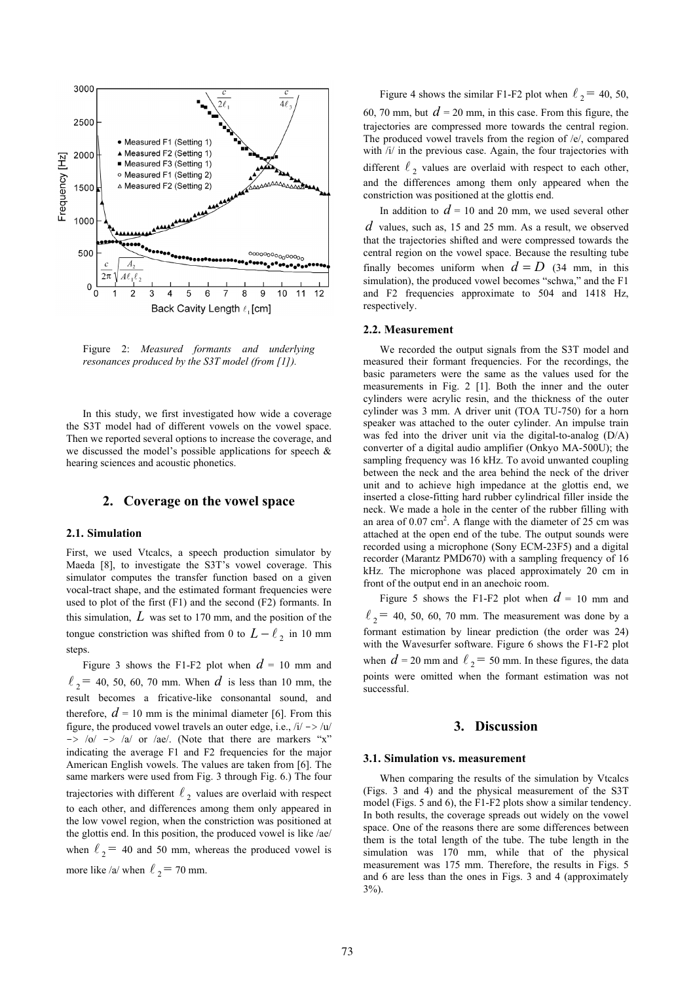

Figure 2: *Measured formants and underlying resonances produced by the S3T model (from [1]).* 

In this study, we first investigated how wide a coverage the S3T model had of different vowels on the vowel space. Then we reported several options to increase the coverage, and we discussed the model's possible applications for speech & hearing sciences and acoustic phonetics.

### **2. Coverage on the vowel space**

### **2.1. Simulation**

First, we used Vtcalcs, a speech production simulator by Maeda [8], to investigate the S3T's vowel coverage. This simulator computes the transfer function based on a given vocal-tract shape, and the estimated formant frequencies were used to plot of the first (F1) and the second (F2) formants. In this simulation,  $L$  was set to 170 mm, and the position of the tongue constriction was shifted from 0 to  $L - \ell_2$  in 10 mm steps.

Figure 3 shows the F1-F2 plot when  $d = 10$  mm and  $\ell_2$  = 40, 50, 60, 70 mm. When *d* is less than 10 mm, the result becomes a fricative-like consonantal sound, and therefore,  $d = 10$  mm is the minimal diameter [6]. From this figure, the produced vowel travels an outer edge, i.e.,  $/i' \rightarrow /u/$  $\Rightarrow$  /o/  $\Rightarrow$  /a/ or /ae/. (Note that there are markers "x" indicating the average F1 and F2 frequencies for the major American English vowels. The values are taken from [6]. The same markers were used from Fig. 3 through Fig. 6.) The four trajectories with different  $\ell_2$  values are overlaid with respect to each other, and differences among them only appeared in the low vowel region, when the constriction was positioned at the glottis end. In this position, the produced vowel is like /ae/ when  $\ell_2$  = 40 and 50 mm, whereas the produced vowel is more like /a/ when  $\ell_2$  = 70 mm.

Figure 4 shows the similar F1-F2 plot when  $\ell_2$  = 40, 50, 60, 70 mm, but  $d = 20$  mm, in this case. From this figure, the trajectories are compressed more towards the central region. The produced vowel travels from the region of /e/, compared with /i/ in the previous case. Again, the four trajectories with different  $\ell_2$  values are overlaid with respect to each other, and the differences among them only appeared when the constriction was positioned at the glottis end.

In addition to  $d = 10$  and 20 mm, we used several other  $d$  values, such as, 15 and 25 mm. As a result, we observed that the trajectories shifted and were compressed towards the central region on the vowel space. Because the resulting tube finally becomes uniform when  $d = D$  (34 mm, in this simulation), the produced vowel becomes "schwa," and the F1 and F2 frequencies approximate to 504 and 1418 Hz, respectively.

#### **2.2. Measurement**

We recorded the output signals from the S3T model and measured their formant frequencies. For the recordings, the basic parameters were the same as the values used for the measurements in Fig. 2 [1]. Both the inner and the outer cylinders were acrylic resin, and the thickness of the outer cylinder was 3 mm. A driver unit (TOA TU-750) for a horn speaker was attached to the outer cylinder. An impulse train was fed into the driver unit via the digital-to-analog (D/A) converter of a digital audio amplifier (Onkyo MA-500U); the sampling frequency was 16 kHz. To avoid unwanted coupling between the neck and the area behind the neck of the driver unit and to achieve high impedance at the glottis end, we inserted a close-fitting hard rubber cylindrical filler inside the neck. We made a hole in the center of the rubber filling with an area of  $0.07 \text{ cm}^2$ . A flange with the diameter of 25 cm was attached at the open end of the tube. The output sounds were recorded using a microphone (Sony ECM-23F5) and a digital recorder (Marantz PMD670) with a sampling frequency of 16 kHz. The microphone was placed approximately 20 cm in front of the output end in an anechoic room.

Figure 5 shows the F1-F2 plot when  $d = 10$  mm and  $\ell_2$  = 40, 50, 60, 70 mm. The measurement was done by a formant estimation by linear prediction (the order was 24) with the Wavesurfer software. Figure 6 shows the F1-F2 plot when  $d = 20$  mm and  $l_2 = 50$  mm. In these figures, the data points were omitted when the formant estimation was not successful.

### **3. Discussion**

#### **3.1. Simulation vs. measurement**

When comparing the results of the simulation by Vtcalcs (Figs. 3 and 4) and the physical measurement of the S3T model (Figs. 5 and 6), the F1-F2 plots show a similar tendency. In both results, the coverage spreads out widely on the vowel space. One of the reasons there are some differences between them is the total length of the tube. The tube length in the simulation was 170 mm, while that of the physical measurement was 175 mm. Therefore, the results in Figs. 5 and 6 are less than the ones in Figs. 3 and 4 (approximately 3%).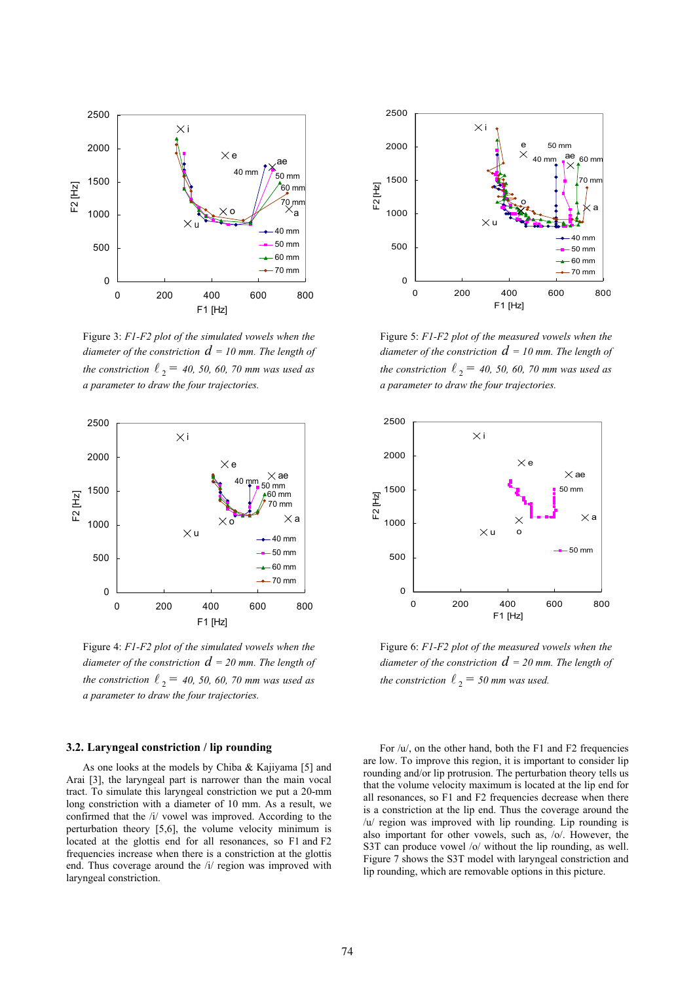

Figure 3: *F1-F2 plot of the simulated vowels when the*  diameter of the constriction  $d$  = 10 mm. The length of the constriction  $\ell_2 = 40, 50, 60, 70$  mm was used as *a parameter to draw the four trajectories.* 



Figure 4: *F1-F2 plot of the simulated vowels when the*  diameter of the constriction  $d$  = 20 mm. The length of the constriction  $\ell_2 = 40, 50, 60, 70$  mm was used as *a parameter to draw the four trajectories.* 

## **3.2. Laryngeal constriction / lip rounding**

As one looks at the models by Chiba & Kajiyama [5] and Arai [3], the laryngeal part is narrower than the main vocal tract. To simulate this laryngeal constriction we put a 20-mm long constriction with a diameter of 10 mm. As a result, we confirmed that the /i/ vowel was improved. According to the perturbation theory [5,6], the volume velocity minimum is located at the glottis end for all resonances, so F1 and F2 frequencies increase when there is a constriction at the glottis end. Thus coverage around the /i/ region was improved with laryngeal constriction.



Figure 5: *F1-F2 plot of the measured vowels when the diameter of the constriction*  $d = 10$  *mm. The length of* the constriction  $\ell_2 = 40, 50, 60, 70$  mm was used as *a parameter to draw the four trajectories.* 



Figure 6: *F1-F2 plot of the measured vowels when the diameter of the constriction*  $d = 20$  *mm. The length of the constriction*  $\ell_2 = 50$  *mm was used.* 

For /u/, on the other hand, both the F1 and F2 frequencies are low. To improve this region, it is important to consider lip rounding and/or lip protrusion. The perturbation theory tells us that the volume velocity maximum is located at the lip end for all resonances, so F1 and F2 frequencies decrease when there is a constriction at the lip end. Thus the coverage around the /u/ region was improved with lip rounding. Lip rounding is also important for other vowels, such as, /o/. However, the S3T can produce vowel /o/ without the lip rounding, as well. Figure 7 shows the S3T model with laryngeal constriction and lip rounding, which are removable options in this picture.